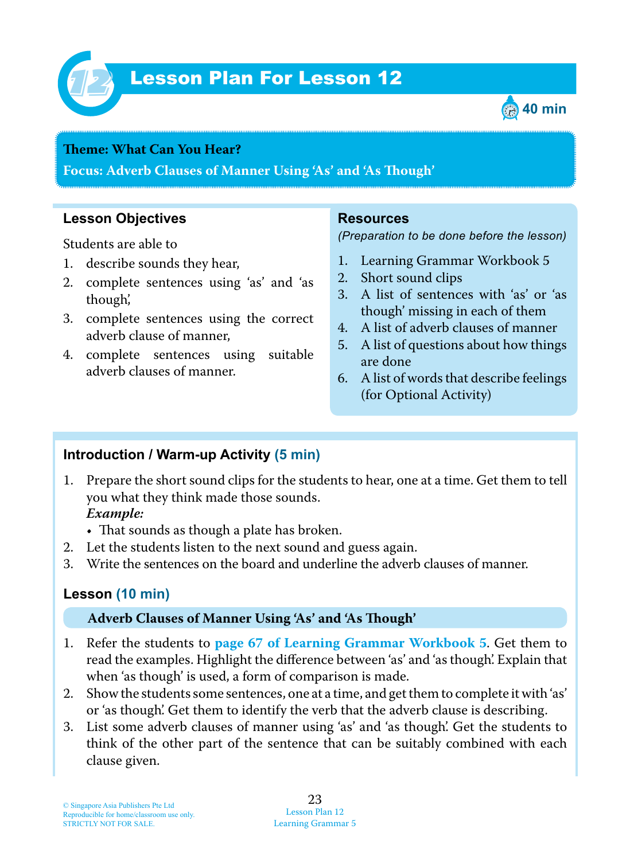

# Lesson Plan For Lesson 12 *12*



#### **Teme : What Can You Hear?**

**Focus: Adverb Clauses of Manner Using 'As' and 'As Tough'**

### **Lesson Objectives**

Students are able to

- 1. describe sounds they hear,
- 2. complete sentences using 'as' and 'as though',
- 3. complete sentences using the correct adverb clause of manner,
- 4. complete sentences using suitable adverb clauses of manner.

#### **Resources**

*(Preparation to be done before the lesson)*

- 1. Learning Grammar Workbook 5
- 2. Short sound clips
- 3. A list of sentences with 'as' or 'as though' missing in each of them
- 4. A list of adverb clauses of manner
- 5. A list of questions about how things are done
- 6. A list of words that describe feelings (for Optional Activity)

#### **Introduction / Warm-up Activity (5 min)**

1 . Prepare the short sound clips for the students to hear, one at a time. Get them to tell you what they think made those sounds.

#### *Example:*

- That sounds as though a plate has broken.
- 2. Let the students listen to the next sound and guess again.
- 3. Write the sentences on the board and underline the adverb clauses of manner.

#### **Lesson (10 min)**

#### **Adverb Clauses of Manner Using 'As' and 'As Tough'**

- 1 . Refer the students to **page 67 of Learning Grammar Workbook 5** . Get them to read the examples. Highlight the difference between 'as' and 'as though'. Explain that when 'as though' is used, a form of comparison is made.
- 2. Show the students some sentences, one at a time, and get them to complete it with 'as' or 'as though'. Get them to identify the verb that the adverb clause is describing.
- 3. List some adverb clauses of manner using 'as' and 'as though'. Get the students to think of the other part of the sentence that can be suitably combined with each clause given.